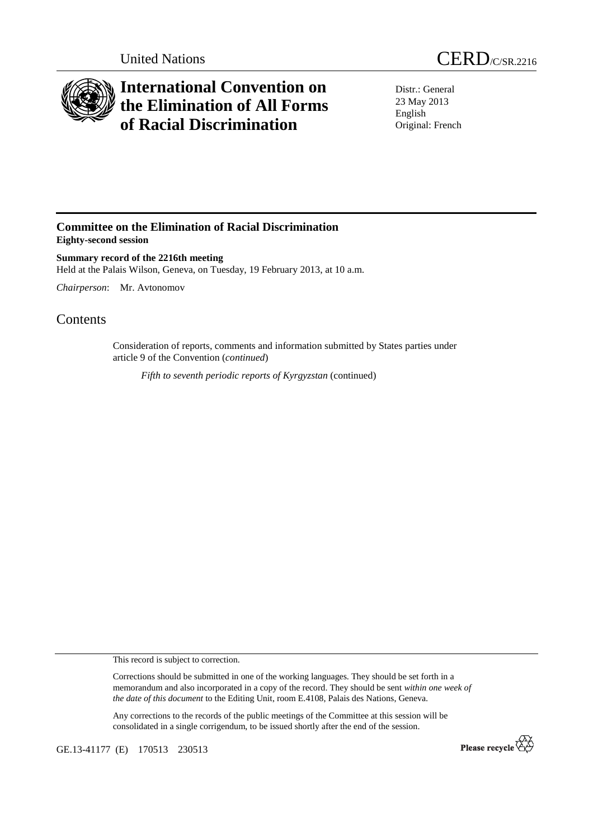



## **International Convention on the Elimination of All Forms of Racial Discrimination**

Distr.: General 23 May 2013 English Original: French

## **Committee on the Elimination of Racial Discrimination Eighty-second session**

**Summary record of the 2216th meeting**  Held at the Palais Wilson, Geneva, on Tuesday, 19 February 2013, at 10 a.m.

*Chairperson*: Mr. Avtonomov

## **Contents**

Consideration of reports, comments and information submitted by States parties under article 9 of the Convention (*continued*)

*Fifth to seventh periodic reports of Kyrgyzstan* (continued)

This record is subject to correction.

Corrections should be submitted in one of the working languages. They should be set forth in a memorandum and also incorporated in a copy of the record. They should be sent *within one week of the date of this document* to the Editing Unit, room E.4108, Palais des Nations, Geneva.

Any corrections to the records of the public meetings of the Committee at this session will be consolidated in a single corrigendum, to be issued shortly after the end of the session.

GE.13-41177 (E) 170513 230513

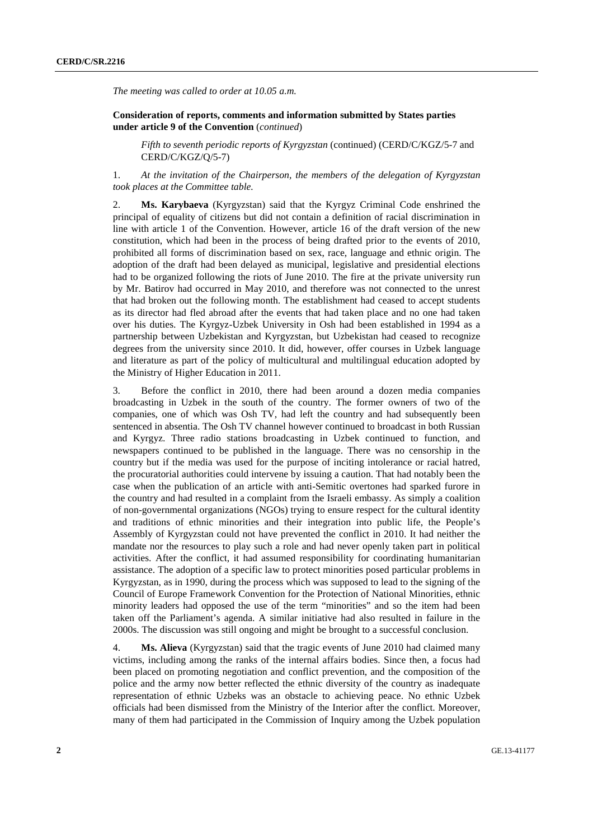*The meeting was called to order at 10.05 a.m.* 

 **Consideration of reports, comments and information submitted by States parties under article 9 of the Convention** (*continued*)

*Fifth to seventh periodic reports of Kyrgyzstan* (continued) (CERD/C/KGZ/5-7 and CERD/C/KGZ/Q/5-7)

1. *At the invitation of the Chairperson, the members of the delegation of Kyrgyzstan took places at the Committee table.* 

2. **Ms. Karybaeva** (Kyrgyzstan) said that the Kyrgyz Criminal Code enshrined the principal of equality of citizens but did not contain a definition of racial discrimination in line with article 1 of the Convention. However, article 16 of the draft version of the new constitution, which had been in the process of being drafted prior to the events of 2010, prohibited all forms of discrimination based on sex, race, language and ethnic origin. The adoption of the draft had been delayed as municipal, legislative and presidential elections had to be organized following the riots of June 2010. The fire at the private university run by Mr. Batirov had occurred in May 2010, and therefore was not connected to the unrest that had broken out the following month. The establishment had ceased to accept students as its director had fled abroad after the events that had taken place and no one had taken over his duties. The Kyrgyz-Uzbek University in Osh had been established in 1994 as a partnership between Uzbekistan and Kyrgyzstan, but Uzbekistan had ceased to recognize degrees from the university since 2010. It did, however, offer courses in Uzbek language and literature as part of the policy of multicultural and multilingual education adopted by the Ministry of Higher Education in 2011.

3. Before the conflict in 2010, there had been around a dozen media companies broadcasting in Uzbek in the south of the country. The former owners of two of the companies, one of which was Osh TV, had left the country and had subsequently been sentenced in absentia. The Osh TV channel however continued to broadcast in both Russian and Kyrgyz. Three radio stations broadcasting in Uzbek continued to function, and newspapers continued to be published in the language. There was no censorship in the country but if the media was used for the purpose of inciting intolerance or racial hatred, the procuratorial authorities could intervene by issuing a caution. That had notably been the case when the publication of an article with anti-Semitic overtones had sparked furore in the country and had resulted in a complaint from the Israeli embassy. As simply a coalition of non-governmental organizations (NGOs) trying to ensure respect for the cultural identity and traditions of ethnic minorities and their integration into public life, the People's Assembly of Kyrgyzstan could not have prevented the conflict in 2010. It had neither the mandate nor the resources to play such a role and had never openly taken part in political activities. After the conflict, it had assumed responsibility for coordinating humanitarian assistance. The adoption of a specific law to protect minorities posed particular problems in Kyrgyzstan, as in 1990, during the process which was supposed to lead to the signing of the Council of Europe Framework Convention for the Protection of National Minorities, ethnic minority leaders had opposed the use of the term "minorities" and so the item had been taken off the Parliament's agenda. A similar initiative had also resulted in failure in the 2000s. The discussion was still ongoing and might be brought to a successful conclusion.

4. **Ms. Alieva** (Kyrgyzstan) said that the tragic events of June 2010 had claimed many victims, including among the ranks of the internal affairs bodies. Since then, a focus had been placed on promoting negotiation and conflict prevention, and the composition of the police and the army now better reflected the ethnic diversity of the country as inadequate representation of ethnic Uzbeks was an obstacle to achieving peace. No ethnic Uzbek officials had been dismissed from the Ministry of the Interior after the conflict. Moreover, many of them had participated in the Commission of Inquiry among the Uzbek population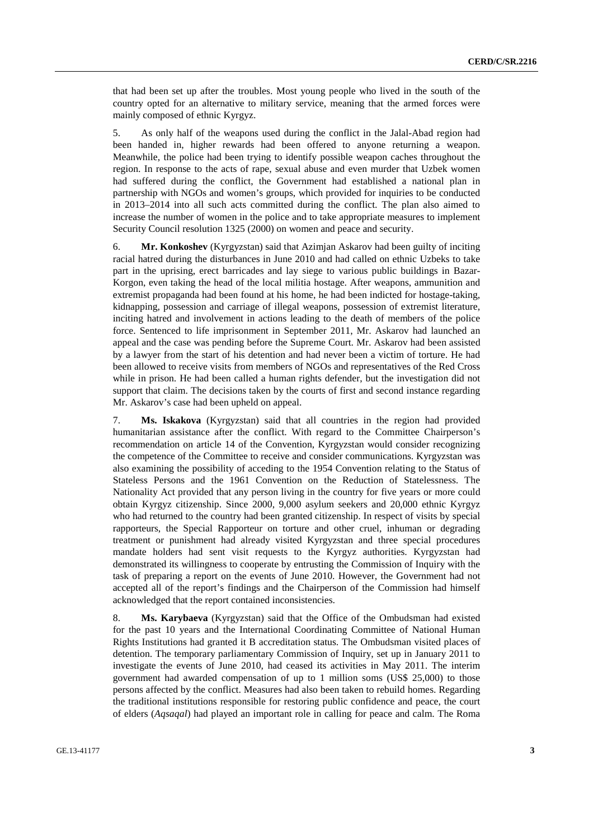that had been set up after the troubles. Most young people who lived in the south of the country opted for an alternative to military service, meaning that the armed forces were mainly composed of ethnic Kyrgyz.

5. As only half of the weapons used during the conflict in the Jalal-Abad region had been handed in, higher rewards had been offered to anyone returning a weapon. Meanwhile, the police had been trying to identify possible weapon caches throughout the region. In response to the acts of rape, sexual abuse and even murder that Uzbek women had suffered during the conflict, the Government had established a national plan in partnership with NGOs and women's groups, which provided for inquiries to be conducted in 2013–2014 into all such acts committed during the conflict. The plan also aimed to increase the number of women in the police and to take appropriate measures to implement Security Council resolution 1325 (2000) on women and peace and security.

6. **Mr. Konkoshev** (Kyrgyzstan) said that Azimjan Askarov had been guilty of inciting racial hatred during the disturbances in June 2010 and had called on ethnic Uzbeks to take part in the uprising, erect barricades and lay siege to various public buildings in Bazar-Korgon, even taking the head of the local militia hostage. After weapons, ammunition and extremist propaganda had been found at his home, he had been indicted for hostage-taking, kidnapping, possession and carriage of illegal weapons, possession of extremist literature, inciting hatred and involvement in actions leading to the death of members of the police force. Sentenced to life imprisonment in September 2011, Mr. Askarov had launched an appeal and the case was pending before the Supreme Court. Mr. Askarov had been assisted by a lawyer from the start of his detention and had never been a victim of torture. He had been allowed to receive visits from members of NGOs and representatives of the Red Cross while in prison. He had been called a human rights defender, but the investigation did not support that claim. The decisions taken by the courts of first and second instance regarding Mr. Askarov's case had been upheld on appeal.

7. **Ms. Iskakova** (Kyrgyzstan) said that all countries in the region had provided humanitarian assistance after the conflict. With regard to the Committee Chairperson's recommendation on article 14 of the Convention, Kyrgyzstan would consider recognizing the competence of the Committee to receive and consider communications. Kyrgyzstan was also examining the possibility of acceding to the 1954 Convention relating to the Status of Stateless Persons and the 1961 Convention on the Reduction of Statelessness. The Nationality Act provided that any person living in the country for five years or more could obtain Kyrgyz citizenship. Since 2000, 9,000 asylum seekers and 20,000 ethnic Kyrgyz who had returned to the country had been granted citizenship. In respect of visits by special rapporteurs, the Special Rapporteur on torture and other cruel, inhuman or degrading treatment or punishment had already visited Kyrgyzstan and three special procedures mandate holders had sent visit requests to the Kyrgyz authorities. Kyrgyzstan had demonstrated its willingness to cooperate by entrusting the Commission of Inquiry with the task of preparing a report on the events of June 2010. However, the Government had not accepted all of the report's findings and the Chairperson of the Commission had himself acknowledged that the report contained inconsistencies.

8. **Ms. Karybaeva** (Kyrgyzstan) said that the Office of the Ombudsman had existed for the past 10 years and the International Coordinating Committee of National Human Rights Institutions had granted it B accreditation status. The Ombudsman visited places of detention. The temporary parliamentary Commission of Inquiry, set up in January 2011 to investigate the events of June 2010, had ceased its activities in May 2011. The interim government had awarded compensation of up to 1 million soms (US\$ 25,000) to those persons affected by the conflict. Measures had also been taken to rebuild homes. Regarding the traditional institutions responsible for restoring public confidence and peace, the court of elders (*Aqsaqal*) had played an important role in calling for peace and calm. The Roma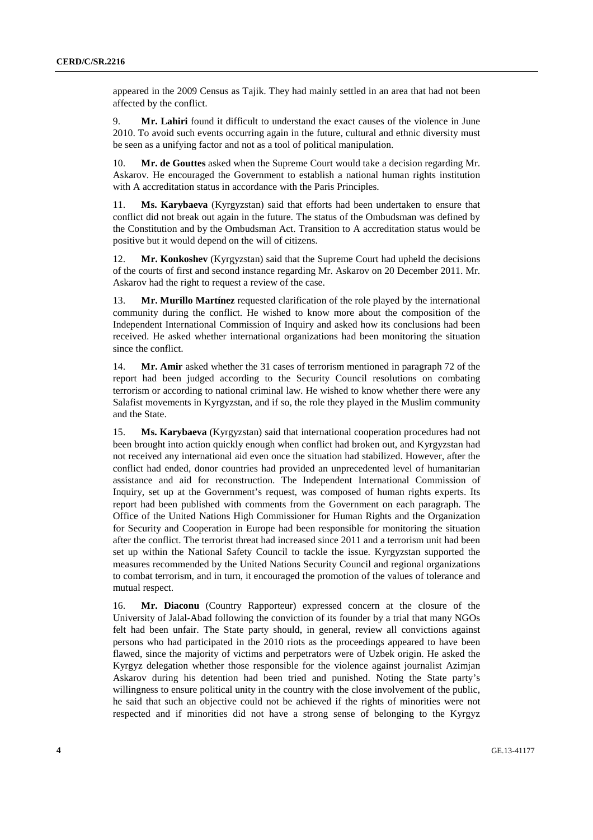appeared in the 2009 Census as Tajik. They had mainly settled in an area that had not been affected by the conflict.

9. **Mr. Lahiri** found it difficult to understand the exact causes of the violence in June 2010. To avoid such events occurring again in the future, cultural and ethnic diversity must be seen as a unifying factor and not as a tool of political manipulation.

10. **Mr. de Gouttes** asked when the Supreme Court would take a decision regarding Mr. Askarov. He encouraged the Government to establish a national human rights institution with A accreditation status in accordance with the Paris Principles.

11. **Ms. Karybaeva** (Kyrgyzstan) said that efforts had been undertaken to ensure that conflict did not break out again in the future. The status of the Ombudsman was defined by the Constitution and by the Ombudsman Act. Transition to A accreditation status would be positive but it would depend on the will of citizens.

12. **Mr. Konkoshev** (Kyrgyzstan) said that the Supreme Court had upheld the decisions of the courts of first and second instance regarding Mr. Askarov on 20 December 2011. Mr. Askarov had the right to request a review of the case.

13. **Mr. Murillo Martínez** requested clarification of the role played by the international community during the conflict. He wished to know more about the composition of the Independent International Commission of Inquiry and asked how its conclusions had been received. He asked whether international organizations had been monitoring the situation since the conflict.

14. **Mr. Amir** asked whether the 31 cases of terrorism mentioned in paragraph 72 of the report had been judged according to the Security Council resolutions on combating terrorism or according to national criminal law. He wished to know whether there were any Salafist movements in Kyrgyzstan, and if so, the role they played in the Muslim community and the State.

15. **Ms. Karybaeva** (Kyrgyzstan) said that international cooperation procedures had not been brought into action quickly enough when conflict had broken out, and Kyrgyzstan had not received any international aid even once the situation had stabilized. However, after the conflict had ended, donor countries had provided an unprecedented level of humanitarian assistance and aid for reconstruction. The Independent International Commission of Inquiry, set up at the Government's request, was composed of human rights experts. Its report had been published with comments from the Government on each paragraph. The Office of the United Nations High Commissioner for Human Rights and the Organization for Security and Cooperation in Europe had been responsible for monitoring the situation after the conflict. The terrorist threat had increased since 2011 and a terrorism unit had been set up within the National Safety Council to tackle the issue. Kyrgyzstan supported the measures recommended by the United Nations Security Council and regional organizations to combat terrorism, and in turn, it encouraged the promotion of the values of tolerance and mutual respect.

16. **Mr. Diaconu** (Country Rapporteur) expressed concern at the closure of the University of Jalal-Abad following the conviction of its founder by a trial that many NGOs felt had been unfair. The State party should, in general, review all convictions against persons who had participated in the 2010 riots as the proceedings appeared to have been flawed, since the majority of victims and perpetrators were of Uzbek origin. He asked the Kyrgyz delegation whether those responsible for the violence against journalist Azimjan Askarov during his detention had been tried and punished. Noting the State party's willingness to ensure political unity in the country with the close involvement of the public, he said that such an objective could not be achieved if the rights of minorities were not respected and if minorities did not have a strong sense of belonging to the Kyrgyz